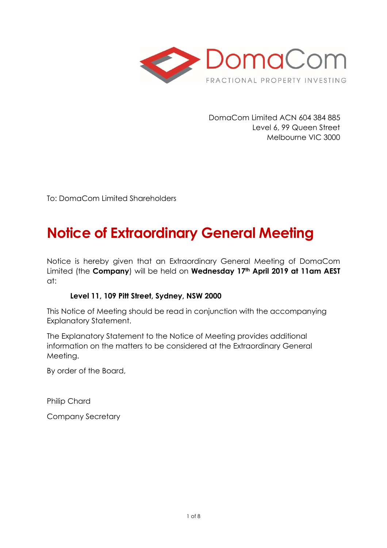

DomaCom Limited ACN 604 384 885 Level 6, 99 Queen Street Melbourne VIC 3000

To: DomaCom Limited Shareholders

# **Notice of Extraordinary General Meeting**

Notice is hereby given that an Extraordinary General Meeting of DomaCom Limited (the **Company**) will be held on **Wednesday 17th April 2019 at 11am AEST**  at:

## **Level 11, 109 Pitt Street, Sydney, NSW 2000**

This Notice of Meeting should be read in conjunction with the accompanying Explanatory Statement.

The Explanatory Statement to the Notice of Meeting provides additional information on the matters to be considered at the Extraordinary General Meeting.

By order of the Board,

Philip Chard

Company Secretary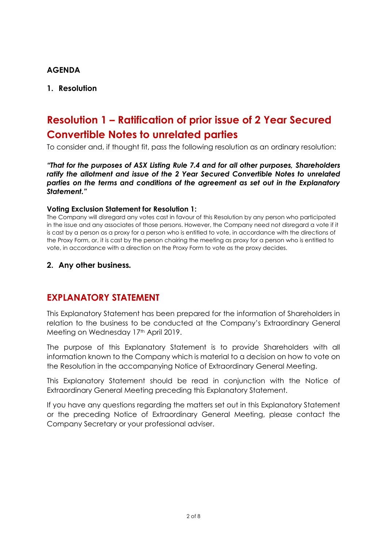#### **AGENDA**

#### **1. Resolution**

## **Resolution 1 – Ratification of prior issue of 2 Year Secured Convertible Notes to unrelated parties**

To consider and, if thought fit, pass the following resolution as an ordinary resolution:

*"That for the purposes of ASX Listing Rule 7.4 and for all other purposes, Shareholders ratify the allotment and issue of the 2 Year Secured Convertible Notes to unrelated parties on the terms and conditions of the agreement as set out in the Explanatory Statement."*

#### **Voting Exclusion Statement for Resolution 1:**

The Company will disregard any votes cast in favour of this Resolution by any person who participated in the issue and any associates of those persons. However, the Company need not disregard a vote if it is cast by a person as a proxy for a person who is entitled to vote, in accordance with the directions of the Proxy Form, or, it is cast by the person chairing the meeting as proxy for a person who is entitled to vote, in accordance with a direction on the Proxy Form to vote as the proxy decides.

#### **2. Any other business***.*

## **EXPLANATORY STATEMENT**

This Explanatory Statement has been prepared for the information of Shareholders in relation to the business to be conducted at the Company's Extraordinary General Meeting on Wednesday 17th April 2019.

The purpose of this Explanatory Statement is to provide Shareholders with all information known to the Company which is material to a decision on how to vote on the Resolution in the accompanying Notice of Extraordinary General Meeting.

This Explanatory Statement should be read in conjunction with the Notice of Extraordinary General Meeting preceding this Explanatory Statement.

If you have any questions regarding the matters set out in this Explanatory Statement or the preceding Notice of Extraordinary General Meeting, please contact the Company Secretary or your professional adviser.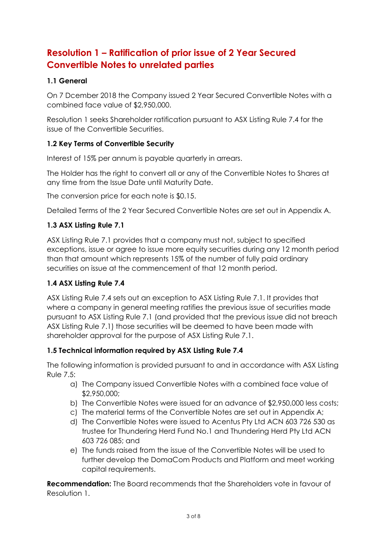## **Resolution 1 – Ratification of prior issue of 2 Year Secured Convertible Notes to unrelated parties**

## **1.1 General**

On 7 Dcember 2018 the Company issued 2 Year Secured Convertible Notes with a combined face value of \$2,950,000.

Resolution 1 seeks Shareholder ratification pursuant to ASX Listing Rule 7.4 for the issue of the Convertible Securities.

## **1.2 Key Terms of Convertible Security**

Interest of 15% per annum is payable quarterly in arrears.

The Holder has the right to convert all or any of the Convertible Notes to Shares at any time from the Issue Date until Maturity Date.

The conversion price for each note is \$0.15.

Detailed Terms of the 2 Year Secured Convertible Notes are set out in Appendix A.

## **1.3 ASX Listing Rule 7.1**

ASX Listing Rule 7.1 provides that a company must not, subject to specified exceptions, issue or agree to issue more equity securities during any 12 month period than that amount which represents 15% of the number of fully paid ordinary securities on issue at the commencement of that 12 month period.

## **1.4 ASX Listing Rule 7.4**

ASX Listing Rule 7.4 sets out an exception to ASX Listing Rule 7.1. It provides that where a company in general meeting ratifies the previous issue of securities made pursuant to ASX Listing Rule 7.1 (and provided that the previous issue did not breach ASX Listing Rule 7.1) those securities will be deemed to have been made with shareholder approval for the purpose of ASX Listing Rule 7.1.

## **1.5 Technical information required by ASX Listing Rule 7.4**

The following information is provided pursuant to and in accordance with ASX Listing Rule 7.5:

- a) The Company issued Convertible Notes with a combined face value of \$2,950,000;
- b) The Convertible Notes were issued for an advance of \$2,950,000 less costs;
- c) The material terms of the Convertible Notes are set out in Appendix A;
- d) The Convertible Notes were issued to Acentus Pty Ltd ACN 603 726 530 as trustee for Thundering Herd Fund No.1 and Thundering Herd Pty Ltd ACN 603 726 085; and
- e) The funds raised from the issue of the Convertible Notes will be used to further develop the DomaCom Products and Platform and meet working capital requirements.

**Recommendation:** The Board recommends that the Shareholders vote in favour of Resolution 1.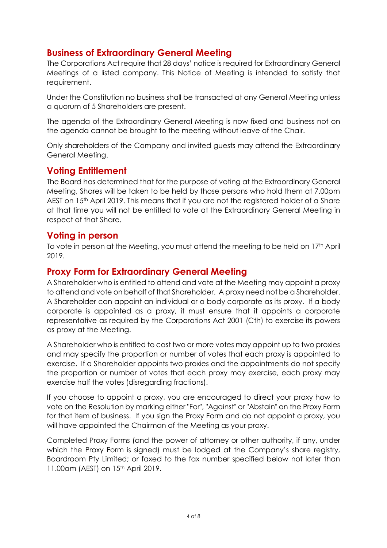## **Business of Extraordinary General Meeting**

The Corporations Act require that 28 days' notice is required for Extraordinary General Meetings of a listed company. This Notice of Meeting is intended to satisfy that requirement.

Under the Constitution no business shall be transacted at any General Meeting unless a quorum of 5 Shareholders are present.

The agenda of the Extraordinary General Meeting is now fixed and business not on the agenda cannot be brought to the meeting without leave of the Chair.

Only shareholders of the Company and invited guests may attend the Extraordinary General Meeting.

## **Voting Entitlement**

The Board has determined that for the purpose of voting at the Extraordinary General Meeting, Shares will be taken to be held by those persons who hold them at 7.00pm AEST on 15<sup>th</sup> April 2019. This means that if you are not the registered holder of a Share at that time you will not be entitled to vote at the Extraordinary General Meeting in respect of that Share.

## **Voting in person**

To vote in person at the Meeting, you must attend the meeting to be held on  $17<sup>th</sup>$  April 2019.

## **Proxy Form for Extraordinary General Meeting**

A Shareholder who is entitled to attend and vote at the Meeting may appoint a proxy to attend and vote on behalf of that Shareholder. A proxy need not be a Shareholder. A Shareholder can appoint an individual or a body corporate as its proxy. If a body corporate is appointed as a proxy, it must ensure that it appoints a corporate representative as required by the Corporations Act 2001 (Cth) to exercise its powers as proxy at the Meeting.

A Shareholder who is entitled to cast two or more votes may appoint up to two proxies and may specify the proportion or number of votes that each proxy is appointed to exercise. If a Shareholder appoints two proxies and the appointments do not specify the proportion or number of votes that each proxy may exercise, each proxy may exercise half the votes (disregarding fractions).

If you choose to appoint a proxy, you are encouraged to direct your proxy how to vote on the Resolution by marking either "For", "Against" or "Abstain" on the Proxy Form for that item of business. If you sign the Proxy Form and do not appoint a proxy, you will have appointed the Chairman of the Meeting as your proxy.

Completed Proxy Forms (and the power of attorney or other authority, if any, under which the Proxy Form is signed) must be lodged at the Company's share registry, Boardroom Pty Limited; or faxed to the fax number specified below not later than 11.00am (AEST) on 15<sup>th</sup> April 2019.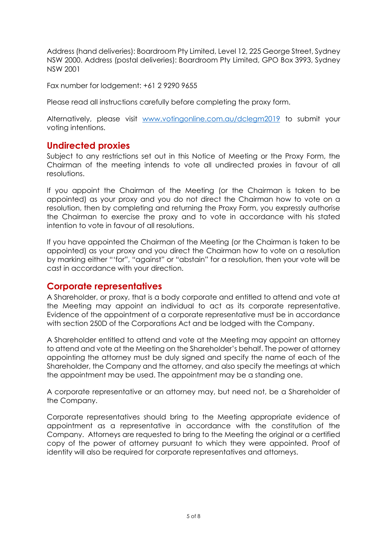Address (hand deliveries): Boardroom Pty Limited, Level 12, 225 George Street, Sydney NSW 2000. Address (postal deliveries): Boardroom Pty Limited, GPO Box 3993, Sydney NSW 2001

Fax number for lodgement: +61 2 9290 9655

Please read all instructions carefully before completing the proxy form.

Alternatively, please visit [www.votingonline.com.au/dclegm2019](http://www.votingonline.com.au/dclegm2019) to submit your voting intentions.

## **Undirected proxies**

Subject to any restrictions set out in this Notice of Meeting or the Proxy Form, the Chairman of the meeting intends to vote all undirected proxies in favour of all resolutions.

If you appoint the Chairman of the Meeting (or the Chairman is taken to be appointed) as your proxy and you do not direct the Chairman how to vote on a resolution, then by completing and returning the Proxy Form, you expressly authorise the Chairman to exercise the proxy and to vote in accordance with his stated intention to vote in favour of all resolutions.

If you have appointed the Chairman of the Meeting (or the Chairman is taken to be appointed) as your proxy and you direct the Chairman how to vote on a resolution by marking either "'for", "against" or "abstain" for a resolution, then your vote will be cast in accordance with your direction.

## **Corporate representatives**

A Shareholder, or proxy, that is a body corporate and entitled to attend and vote at the Meeting may appoint an individual to act as its corporate representative. Evidence of the appointment of a corporate representative must be in accordance with section 250D of the Corporations Act and be lodged with the Company.

A Shareholder entitled to attend and vote at the Meeting may appoint an attorney to attend and vote at the Meeting on the Shareholder's behalf. The power of attorney appointing the attorney must be duly signed and specify the name of each of the Shareholder, the Company and the attorney, and also specify the meetings at which the appointment may be used. The appointment may be a standing one.

A corporate representative or an attorney may, but need not, be a Shareholder of the Company.

Corporate representatives should bring to the Meeting appropriate evidence of appointment as a representative in accordance with the constitution of the Company. Attorneys are requested to bring to the Meeting the original or a certified copy of the power of attorney pursuant to which they were appointed. Proof of identity will also be required for corporate representatives and attorneys.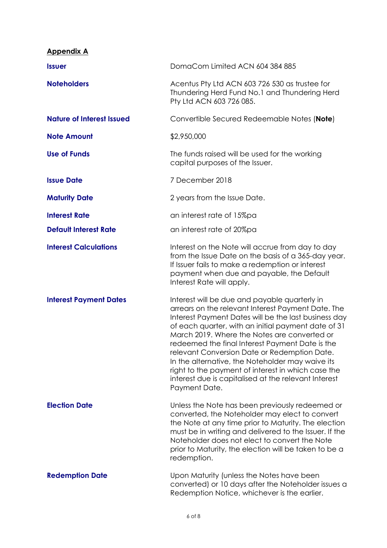| <b>Appendix A</b>                |                                                                                                                                                                                                                                                                                                                                                                                                                                                                                                                                                          |
|----------------------------------|----------------------------------------------------------------------------------------------------------------------------------------------------------------------------------------------------------------------------------------------------------------------------------------------------------------------------------------------------------------------------------------------------------------------------------------------------------------------------------------------------------------------------------------------------------|
| <b>Issuer</b>                    | DomaCom Limited ACN 604 384 885                                                                                                                                                                                                                                                                                                                                                                                                                                                                                                                          |
| <b>Noteholders</b>               | Acentus Pty Ltd ACN 603 726 530 as trustee for<br>Thundering Herd Fund No.1 and Thundering Herd<br>Pty Ltd ACN 603 726 085.                                                                                                                                                                                                                                                                                                                                                                                                                              |
| <b>Nature of Interest Issued</b> | Convertible Secured Redeemable Notes (Note)                                                                                                                                                                                                                                                                                                                                                                                                                                                                                                              |
| <b>Note Amount</b>               | \$2,950,000                                                                                                                                                                                                                                                                                                                                                                                                                                                                                                                                              |
| <b>Use of Funds</b>              | The funds raised will be used for the working<br>capital purposes of the Issuer.                                                                                                                                                                                                                                                                                                                                                                                                                                                                         |
| <b>Issue Date</b>                | 7 December 2018                                                                                                                                                                                                                                                                                                                                                                                                                                                                                                                                          |
| <b>Maturity Date</b>             | 2 years from the Issue Date.                                                                                                                                                                                                                                                                                                                                                                                                                                                                                                                             |
| <b>Interest Rate</b>             | an interest rate of 15%pa                                                                                                                                                                                                                                                                                                                                                                                                                                                                                                                                |
| <b>Default Interest Rate</b>     | an interest rate of 20%pa                                                                                                                                                                                                                                                                                                                                                                                                                                                                                                                                |
| <b>Interest Calculations</b>     | Interest on the Note will accrue from day to day<br>from the Issue Date on the basis of a 365-day year.<br>If Issuer fails to make a redemption or interest<br>payment when due and payable, the Default<br>Interest Rate will apply.                                                                                                                                                                                                                                                                                                                    |
| <b>Interest Payment Dates</b>    | Interest will be due and payable quarterly in<br>arrears on the relevant Interest Payment Date. The<br>Interest Payment Dates will be the last business day<br>of each quarter, with an initial payment date of 31<br>March 2019. Where the Notes are converted or<br>redeemed the final Interest Payment Date is the<br>relevant Conversion Date or Redemption Date.<br>In the alternative, the Noteholder may waive its<br>right to the payment of interest in which case the<br>interest due is capitalised at the relevant Interest<br>Payment Date. |
| <b>Election Date</b>             | Unless the Note has been previously redeemed or<br>converted, the Noteholder may elect to convert<br>the Note at any time prior to Maturity. The election<br>must be in writing and delivered to the Issuer. If the<br>Noteholder does not elect to convert the Note<br>prior to Maturity, the election will be taken to be a<br>redemption.                                                                                                                                                                                                             |
| <b>Redemption Date</b>           | Upon Maturity (unless the Notes have been<br>converted) or 10 days after the Noteholder issues a<br>Redemption Notice, whichever is the earlier.                                                                                                                                                                                                                                                                                                                                                                                                         |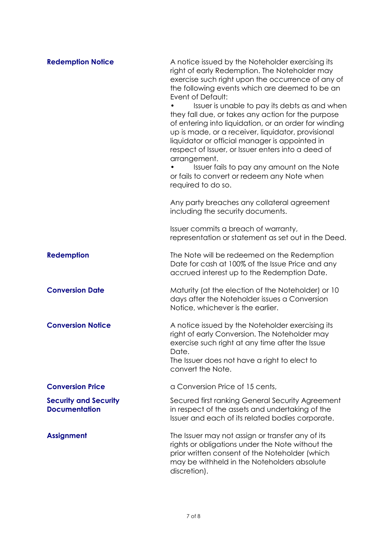| <b>Redemption Notice</b>                             | A notice issued by the Noteholder exercising its<br>right of early Redemption. The Noteholder may<br>exercise such right upon the occurrence of any of<br>the following events which are deemed to be an<br>Event of Default:<br>Issuer is unable to pay its debts as and when<br>they fall due, or takes any action for the purpose<br>of entering into liquidation, or an order for winding<br>up is made, or a receiver, liquidator, provisional<br>liquidator or official manager is appointed in<br>respect of Issuer, or Issuer enters into a deed of<br>arrangement.<br>Issuer fails to pay any amount on the Note<br>or fails to convert or redeem any Note when<br>required to do so. |
|------------------------------------------------------|------------------------------------------------------------------------------------------------------------------------------------------------------------------------------------------------------------------------------------------------------------------------------------------------------------------------------------------------------------------------------------------------------------------------------------------------------------------------------------------------------------------------------------------------------------------------------------------------------------------------------------------------------------------------------------------------|
|                                                      | Any party breaches any collateral agreement<br>including the security documents.                                                                                                                                                                                                                                                                                                                                                                                                                                                                                                                                                                                                               |
|                                                      | Issuer commits a breach of warranty,<br>representation or statement as set out in the Deed.                                                                                                                                                                                                                                                                                                                                                                                                                                                                                                                                                                                                    |
| <b>Redemption</b>                                    | The Note will be redeemed on the Redemption<br>Date for cash at 100% of the Issue Price and any<br>accrued interest up to the Redemption Date.                                                                                                                                                                                                                                                                                                                                                                                                                                                                                                                                                 |
| <b>Conversion Date</b>                               | Maturity (at the election of the Noteholder) or 10<br>days after the Noteholder issues a Conversion<br>Notice, whichever is the earlier.                                                                                                                                                                                                                                                                                                                                                                                                                                                                                                                                                       |
| <b>Conversion Notice</b>                             | A notice issued by the Noteholder exercising its<br>right of early Conversion. The Noteholder may<br>exercise such right at any time after the Issue<br>Date.<br>The Issuer does not have a right to elect to<br>convert the Note.                                                                                                                                                                                                                                                                                                                                                                                                                                                             |
| <b>Conversion Price</b>                              | a Conversion Price of 15 cents,                                                                                                                                                                                                                                                                                                                                                                                                                                                                                                                                                                                                                                                                |
| <b>Security and Security</b><br><b>Documentation</b> | Secured first ranking General Security Agreement<br>in respect of the assets and undertaking of the<br>Issuer and each of its related bodies corporate.                                                                                                                                                                                                                                                                                                                                                                                                                                                                                                                                        |
| <b>Assignment</b>                                    | The Issuer may not assign or transfer any of its<br>rights or obligations under the Note without the<br>prior written consent of the Noteholder (which<br>may be withheld in the Noteholders absolute<br>discretion).                                                                                                                                                                                                                                                                                                                                                                                                                                                                          |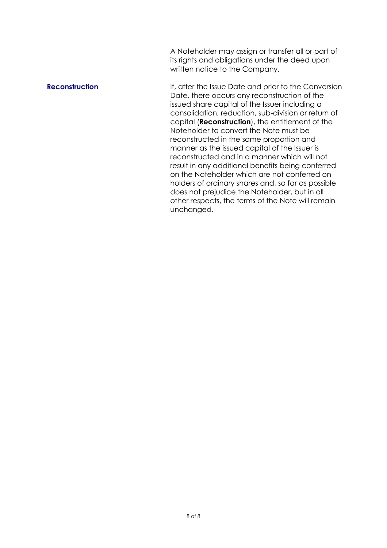A Noteholder may assign or transfer all or part of its rights and obligations under the deed upon written notice to the Company.

**Reconstruction If, after the Issue Date and prior to the Conversion** Date, there occurs any reconstruction of the issued share capital of the Issuer including a consolidation, reduction, sub-division or return of capital (**Reconstruction**), the entitlement of the Noteholder to convert the Note must be reconstructed in the same proportion and manner as the issued capital of the Issuer is reconstructed and in a manner which will not result in any additional benefits being conferred on the Noteholder which are not conferred on holders of ordinary shares and, so far as possible does not prejudice the Noteholder, but in all other respects, the terms of the Note will remain unchanged.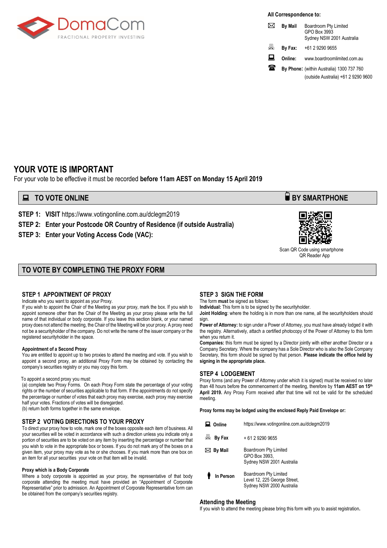

**All Correspondence to:**

|    | <b>By Mail</b> | Boardroom Pty Limited<br>GPO Box 3993<br>Sydney NSW 2001 Australia |
|----|----------------|--------------------------------------------------------------------|
| L  | By Fax:        | +61 2 9290 9655                                                    |
| 旦  | Online:        | www.boardroomlimited.com.au                                        |
| 78 |                | By Phone: (within Australia) 1300 737 760                          |
|    |                | (outside Australia) +61 2 9290 9600                                |

## **YOUR VOTE IS IMPORTANT**

For your vote to be effective it must be recorded **before 11am AEST on Monday 15 April 2019**

#### **■ TO VOTE ONLINE BY SMARTPHONE**

**STEP 1: VISIT** https://www.votingonline.com.au/dclegm2019

**STEP 2: Enter your Postcode OR Country of Residence (if outside Australia)**

**STEP 3: Enter your Voting Access Code (VAC):**

#### **TO VOTE BY COMPLETING THE PROXY FORM**

#### **STEP 1 APPOINTMENT OF PROXY**

Indicate who you want to appoint as your Proxy.

If you wish to appoint the Chair of the Meeting as your proxy, mark the box. If you wish to appoint someone other than the Chair of the Meeting as your proxy please write the full name of that individual or body corporate. If you leave this section blank, or your named proxy does not attend the meeting, the Chair of the Meeting will be your proxy. A proxy need not be a securityholder of the company. Do not write the name of the issuer company or the registered securityholder in the space.

#### **Appointment of a Second Proxy**

You are entitled to appoint up to two proxies to attend the meeting and vote. If you wish to appoint a second proxy, an additional Proxy Form may be obtained by contacting the company's securities registry or you may copy this form.

#### To appoint a second proxy you must:

(a) complete two Proxy Forms. On each Proxy Form state the percentage of your voting rights or the number of securities applicable to that form. If the appointments do not specify the percentage or number of votes that each proxy may exercise, each proxy may exercise half your votes. Fractions of votes will be disregarded. (b) return both forms together in the same envelope.

#### **STEP 2 VOTING DIRECTIONS TO YOUR PROXY**

To direct your proxy how to vote, mark one of the boxes opposite each item of business. All your securities will be voted in accordance with such a direction unless you indicate only a portion of securities are to be voted on any item by inserting the percentage or number that you wish to vote in the appropriate box or boxes. If you do not mark any of the boxes on a given item, your proxy may vote as he or she chooses. If you mark more than one box on an item for all your securities your vote on that item will be invalid.

#### **Proxy which is a Body Corporate**

Where a body corporate is appointed as your proxy, the representative of that body corporate attending the meeting must have provided an "Appointment of Corporate Representative" prior to admission. An Appointment of Corporate Representative form can be obtained from the company's securities registry.

#### **STEP 3 SIGN THE FORM**

The form **must** be signed as follows: **Individual:** This form is to be signed by the securityholder.

**Joint Holding**: where the holding is in more than one name, all the securityholders should sign.

**Power of Attorney:** to sign under a Power of Attorney, you must have already lodged it with the registry. Alternatively, attach a certified photocopy of the Power of Attorney to this form when you return it.

**Companies:** this form must be signed by a Director jointly with either another Director or a Company Secretary. Where the company has a Sole Director who is also the Sole Company Secretary, this form should be signed by that person. **Please indicate the office held by signing in the appropriate place.**

#### **STEP 4 LODGEMENT**

Proxy forms (and any Power of Attorney under which it is signed) must be received no later than 48 hours before the commencement of the meeting, therefore by **11am AEST on 15th April 2019.** Any Proxy Form received after that time will not be valid for the scheduled meeting.

**Proxy forms may be lodged using the enclosed Reply Paid Envelope or:**

| Online            | https://www.votingonline.com.au/dclegm2019                                         |
|-------------------|------------------------------------------------------------------------------------|
| 圖 By Fax          | + 61 2 9290 9655                                                                   |
| $\bowtie$ By Mail | Boardroom Pty Limited<br>GPO Box 3993,<br>Sydney NSW 2001 Australia                |
| In Person         | Boardroom Pty Limited<br>Level 12, 225 George Street,<br>Sydney NSW 2000 Australia |

#### **Attending the Meeting**

If you wish to attend the meeting please bring this form with you to assist registration**.**



 Scan QR Code using smartphone QR Reader App